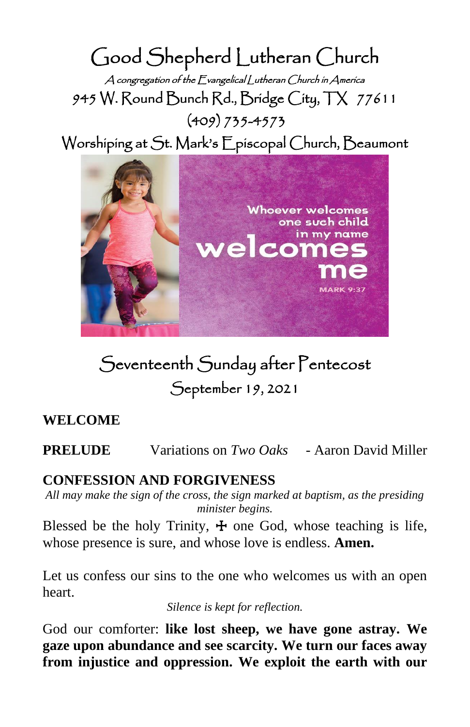Good Shepherd Lutheran Church A congregation of the Evangelical Lutheran Church in America 945 W. Round Bunch Rd., Bridge City, TX 77611 (409) 735-4573

Worshiping at St. Mark's Episcopal Church, Beaumont



# Seventeenth Sunday after Pentecost September 19, 2021

# **WELCOME**

**PRELUDE** Variations on *Two Oaks* - Aaron David Miller

# **CONFESSION AND FORGIVENESS**

*All may make the sign of the cross, the sign marked at baptism, as the presiding minister begins.*

Blessed be the holy Trinity,  $\pm$  one God, whose teaching is life, whose presence is sure, and whose love is endless. **Amen.**

Let us confess our sins to the one who welcomes us with an open heart.

*Silence is kept for reflection.*

God our comforter: **like lost sheep, we have gone astray. We gaze upon abundance and see scarcity. We turn our faces away from injustice and oppression. We exploit the earth with our**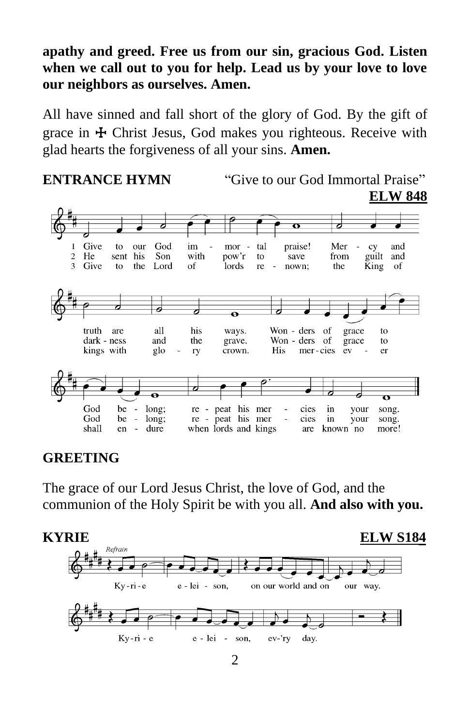# **apathy and greed. Free us from our sin, gracious God. Listen when we call out to you for help. Lead us by your love to love our neighbors as ourselves. Amen.**

All have sinned and fall short of the glory of God. By the gift of grace in  $\pm$  Christ Jesus, God makes you righteous. Receive with glad hearts the forgiveness of all your sins. **Amen.**

**ENTRANCE HYMN** "Give to our God Immortal Praise" **ELW 848**



## **GREETING**

The grace of our Lord Jesus Christ, the love of God, and the communion of the Holy Spirit be with you all. **And also with you.**

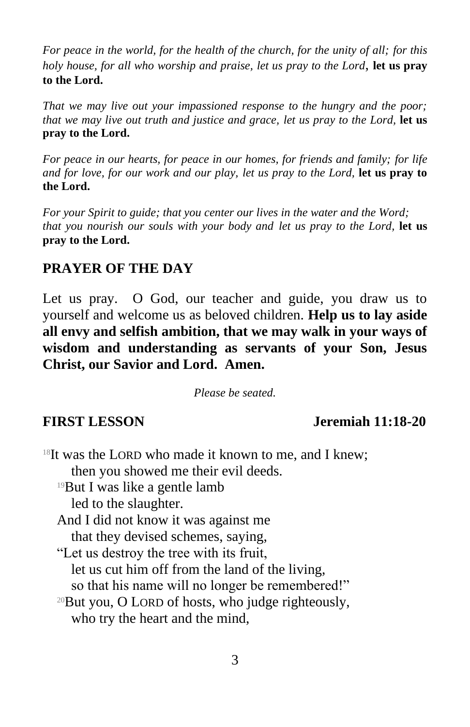*For peace in the world, for the health of the church, for the unity of all; for this holy house, for all who worship and praise, let us pray to the Lord*, **let us pray to the Lord.**

*That we may live out your impassioned response to the hungry and the poor; that we may live out truth and justice and grace, let us pray to the Lord,* **let us pray to the Lord.**

*For peace in our hearts, for peace in our homes, for friends and family; for life and for love, for our work and our play, let us pray to the Lord,* **let us pray to the Lord.**

*For your Spirit to guide; that you center our lives in the water and the Word; that you nourish our souls with your body and let us pray to the Lord,* **let us pray to the Lord.**

# **PRAYER OF THE DAY**

Let us pray. O God, our teacher and guide, you draw us to yourself and welcome us as beloved children. **Help us to lay aside all envy and selfish ambition, that we may walk in your ways of wisdom and understanding as servants of your Son, Jesus Christ, our Savior and Lord. Amen.**

*Please be seated.*

### **FIRST LESSON Jeremiah 11:18-20**

 $18$ It was the LORD who made it known to me, and I knew; then you showed me their evil deeds. <sup>19</sup>But I was like a gentle lamb led to the slaughter. And I did not know it was against me that they devised schemes, saying, "Let us destroy the tree with its fruit, let us cut him off from the land of the living, so that his name will no longer be remembered!"  $20$ But you, O LORD of hosts, who judge righteously, who try the heart and the mind,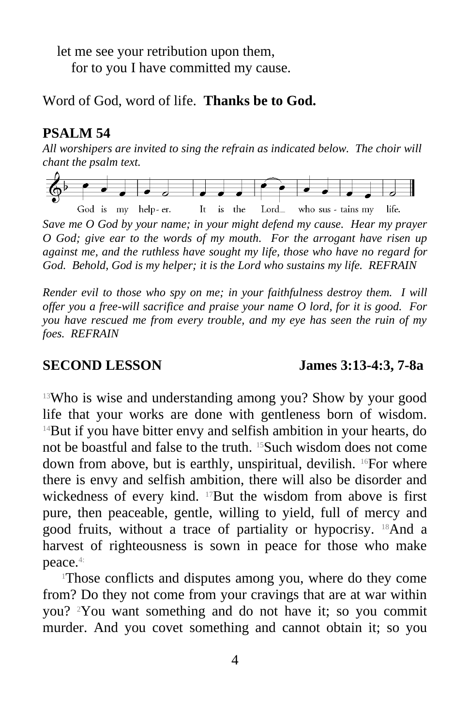let me see your retribution upon them, for to you I have committed my cause.

Word of God, word of life. **Thanks be to God.**

#### **PSALM 54**

*All worshipers are invited to sing the refrain as indicated below. The choir will chant the psalm text.*



*Save me O God by your name; in your might defend my cause. Hear my prayer O God; give ear to the words of my mouth. For the arrogant have risen up against me, and the ruthless have sought my life, those who have no regard for God. Behold, God is my helper; it is the Lord who sustains my life. REFRAIN*

*Render evil to those who spy on me; in your faithfulness destroy them. I will offer you a free-will sacrifice and praise your name O lord, for it is good. For you have rescued me from every trouble, and my eye has seen the ruin of my foes. REFRAIN*

#### **SECOND LESSON James 3:13-4:3, 7-8a**

<sup>13</sup>Who is wise and understanding among you? Show by your good life that your works are done with gentleness born of wisdom. <sup>14</sup>But if you have bitter envy and selfish ambition in your hearts, do not be boastful and false to the truth. 15Such wisdom does not come down from above, but is earthly, unspiritual, devilish. 16For where there is envy and selfish ambition, there will also be disorder and wickedness of every kind. <sup>17</sup>But the wisdom from above is first pure, then peaceable, gentle, willing to yield, full of mercy and good fruits, without a trace of partiality or hypocrisy. 18And a harvest of righteousness is sown in peace for those who make peace.4:

<sup>1</sup>Those conflicts and disputes among you, where do they come from? Do they not come from your cravings that are at war within you? 2You want something and do not have it; so you commit murder. And you covet something and cannot obtain it; so you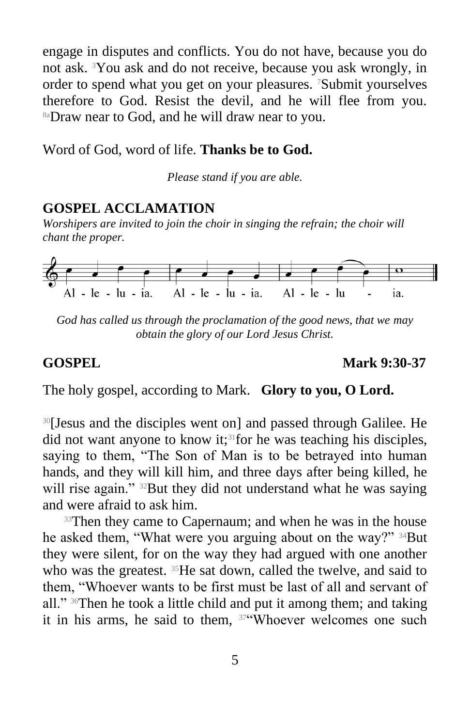engage in disputes and conflicts. You do not have, because you do not ask. 3You ask and do not receive, because you ask wrongly, in order to spend what you get on your pleasures. 7Submit yourselves therefore to God. Resist the devil, and he will flee from you. 8aDraw near to God, and he will draw near to you.

Word of God, word of life. **Thanks be to God.**

*Please stand if you are able.*

### **GOSPEL ACCLAMATION**

*Worshipers are invited to join the choir in singing the refrain; the choir will chant the proper.*



*God has called us through the proclamation of the good news, that we may obtain the glory of our Lord Jesus Christ.*

**GOSPEL Mark 9:30-37**

The holy gospel, according to Mark. **Glory to you, O Lord.**

30 [Jesus and the disciples went on] and passed through Galilee. He did not want anyone to know it;<sup>31</sup> for he was teaching his disciples, saying to them, "The Son of Man is to be betrayed into human hands, and they will kill him, and three days after being killed, he will rise again." <sup>32</sup>But they did not understand what he was saying and were afraid to ask him.

<sup>33</sup>Then they came to Capernaum; and when he was in the house he asked them, "What were you arguing about on the way?" 34But they were silent, for on the way they had argued with one another who was the greatest. <sup>35</sup>He sat down, called the twelve, and said to them, "Whoever wants to be first must be last of all and servant of all." <sup>36</sup>Then he took a little child and put it among them; and taking it in his arms, he said to them, <sup>374</sup>Whoever welcomes one such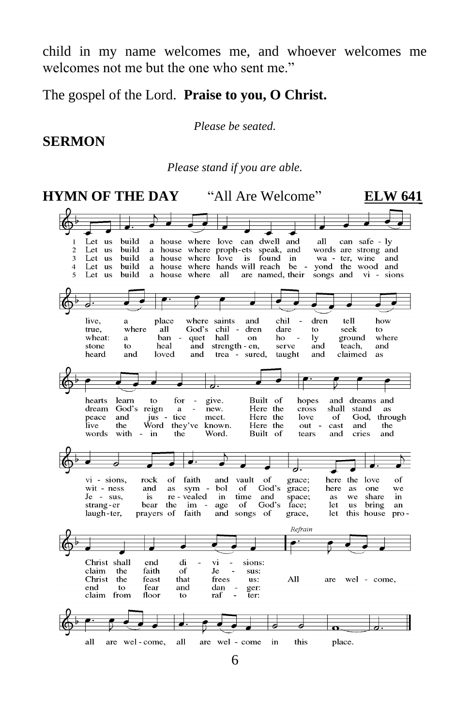child in my name welcomes me, and whoever welcomes me welcomes not me but the one who sent me."

The gospel of the Lord. **Praise to you, O Christ.**

#### *Please be seated.*

# **SERMON**

#### *Please stand if you are able.*

|                                                 | <b>HYMN OF THE DAY</b><br>"All Are Welcome"<br><b>ELW 641</b>                                                                                                                                                                                                                                                                                                                                                                                                                               |
|-------------------------------------------------|---------------------------------------------------------------------------------------------------------------------------------------------------------------------------------------------------------------------------------------------------------------------------------------------------------------------------------------------------------------------------------------------------------------------------------------------------------------------------------------------|
|                                                 |                                                                                                                                                                                                                                                                                                                                                                                                                                                                                             |
| 1<br>$\overline{c}$<br>3<br>$\overline{4}$<br>5 | a house where love can dwell and<br>Let us<br>build<br>all<br>can safe - lv<br>build<br>a house where proph-ets speak, and<br>Let us<br>words are strong and<br>build<br>house where love<br>is found<br>in<br>wa - ter, wine<br>and<br>Let us<br>a.<br>$be -$<br>build<br>house where hands will reach<br>yond the wood and<br>Let us<br>a<br>build<br>a house where<br>all<br>are named, their<br>songs and vi - sions<br>Let us                                                          |
|                                                 |                                                                                                                                                                                                                                                                                                                                                                                                                                                                                             |
|                                                 | live,<br>where saints<br>chil<br>dren<br>tell<br>place<br>and<br>how<br>a<br>all<br>God's<br>chil - dren<br>dare<br>seek<br>true,<br>where<br>to<br>to<br>wheat:<br>where<br>ban -<br>hall<br>ho<br>ground<br>quet<br>on<br>lу<br>a<br>stone<br>heal<br>and<br>strength - en,<br>teach.<br>and<br>to<br>serve<br>and<br>loved<br>trea - sured,<br>claimed<br>heard<br>and<br>and<br>taught<br>and<br>as                                                                                     |
|                                                 |                                                                                                                                                                                                                                                                                                                                                                                                                                                                                             |
|                                                 | hearts<br>Built of<br>and dreams and<br>learn<br>to<br>for<br>give.<br>hopes<br>Here the<br>dream<br>God's reign<br>cross<br>shall<br>stand<br>$\overline{a}$<br>new.<br>as<br>a<br>Here the<br>love<br>of<br>God, through<br>peace<br>and<br>jus - tice<br>meet.<br>the<br>known.<br>Here the<br>live<br>Word they've<br>and<br>the<br>$out -$<br>cast<br>with - in<br>Word.<br>Built of<br>words<br>the<br>and<br>cries<br>and<br>tears                                                   |
|                                                 |                                                                                                                                                                                                                                                                                                                                                                                                                                                                                             |
|                                                 | faith<br>of<br>- of<br>here the love<br>of<br>vi - sions,<br>rock<br>and vault<br>grace;<br>wit - ness<br>and<br>sym - bol<br>of<br>God's<br>grace;<br>here<br>one<br>as<br>as<br>we<br>re - vealed<br>Je - sus,<br>is<br>in.<br>time<br>and<br>share<br>space;<br>we<br>in<br>as<br>of<br>bear<br>the<br>im<br>God's<br>bring<br>strang-er<br>$\sim$<br>age<br>face;<br>let<br><b>us</b><br>an<br>laugh-ter,<br>prayers of<br>faith<br>and songs of<br>grace,<br>let<br>this house<br>pro- |
|                                                 | Refrain                                                                                                                                                                                                                                                                                                                                                                                                                                                                                     |
|                                                 | Christ shall<br>end<br>di<br>vi<br>sions:<br>$\blacksquare$<br>claim<br>faith<br>the<br>оf<br>Je<br>sus:<br>All<br>Christ<br>the<br>feast<br>that<br>frees<br>us:<br>wel - come,<br>are<br>fear<br>end<br>and<br>dan<br>ger:<br>to<br>claim from<br>floor<br>to<br>raf<br>ter:                                                                                                                                                                                                              |
|                                                 |                                                                                                                                                                                                                                                                                                                                                                                                                                                                                             |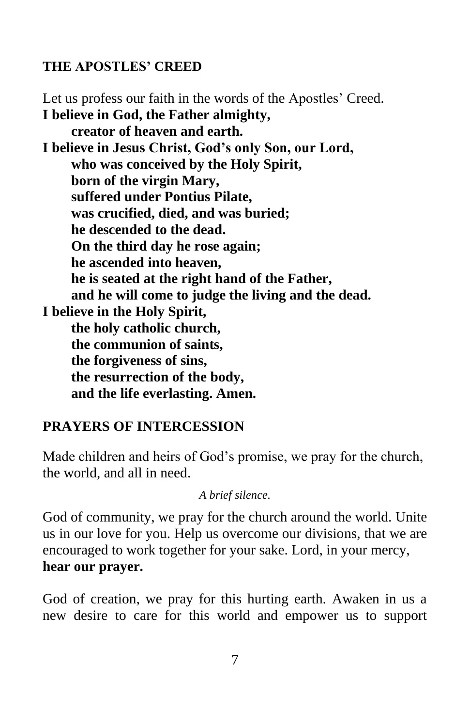## **THE APOSTLES' CREED**

Let us profess our faith in the words of the Apostles' Creed. **I believe in God, the Father almighty, creator of heaven and earth. I believe in Jesus Christ, God's only Son, our Lord, who was conceived by the Holy Spirit, born of the virgin Mary, suffered under Pontius Pilate, was crucified, died, and was buried; he descended to the dead. On the third day he rose again; he ascended into heaven, he is seated at the right hand of the Father, and he will come to judge the living and the dead. I believe in the Holy Spirit, the holy catholic church, the communion of saints, the forgiveness of sins, the resurrection of the body, and the life everlasting. Amen.**

# **PRAYERS OF INTERCESSION**

Made children and heirs of God's promise, we pray for the church, the world, and all in need.

*A brief silence.*

God of community, we pray for the church around the world. Unite us in our love for you. Help us overcome our divisions, that we are encouraged to work together for your sake. Lord, in your mercy, **hear our prayer.**

God of creation, we pray for this hurting earth. Awaken in us a new desire to care for this world and empower us to support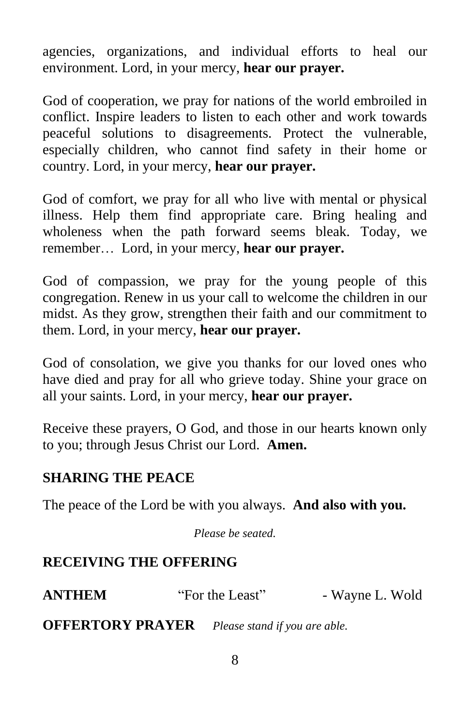agencies, organizations, and individual efforts to heal our environment. Lord, in your mercy, **hear our prayer.**

God of cooperation, we pray for nations of the world embroiled in conflict. Inspire leaders to listen to each other and work towards peaceful solutions to disagreements. Protect the vulnerable, especially children, who cannot find safety in their home or country. Lord, in your mercy, **hear our prayer.**

God of comfort, we pray for all who live with mental or physical illness. Help them find appropriate care. Bring healing and wholeness when the path forward seems bleak. Today, we remember… Lord, in your mercy, **hear our prayer.**

God of compassion, we pray for the young people of this congregation. Renew in us your call to welcome the children in our midst. As they grow, strengthen their faith and our commitment to them. Lord, in your mercy, **hear our prayer.**

God of consolation, we give you thanks for our loved ones who have died and pray for all who grieve today. Shine your grace on all your saints. Lord, in your mercy, **hear our prayer.**

Receive these prayers, O God, and those in our hearts known only to you; through Jesus Christ our Lord. **Amen.**

### **SHARING THE PEACE**

The peace of the Lord be with you always. **And also with you.**

*Please be seated.*

# **RECEIVING THE OFFERING**

**ANTHEM** "For the Least" - Wayne L. Wold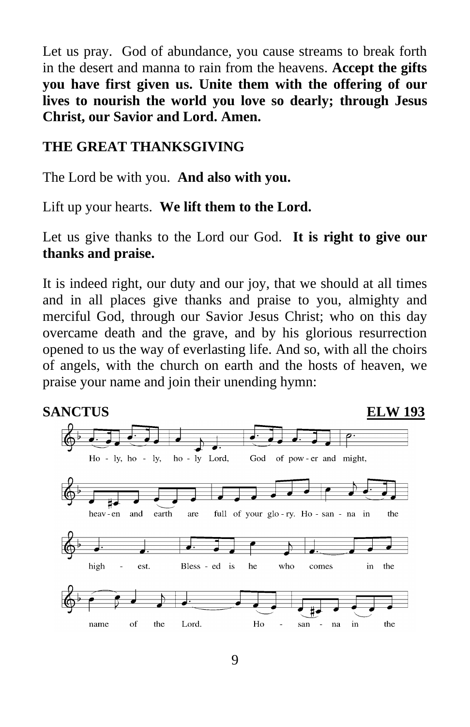Let us pray. God of abundance, you cause streams to break forth in the desert and manna to rain from the heavens. **Accept the gifts you have first given us. Unite them with the offering of our lives to nourish the world you love so dearly; through Jesus Christ, our Savior and Lord. Amen.**

# **THE GREAT THANKSGIVING**

The Lord be with you. **And also with you.**

Lift up your hearts. **We lift them to the Lord.**

Let us give thanks to the Lord our God. **It is right to give our thanks and praise.**

It is indeed right, our duty and our joy, that we should at all times and in all places give thanks and praise to you, almighty and merciful God, through our Savior Jesus Christ; who on this day overcame death and the grave, and by his glorious resurrection opened to us the way of everlasting life. And so, with all the choirs of angels, with the church on earth and the hosts of heaven, we praise your name and join their unending hymn:

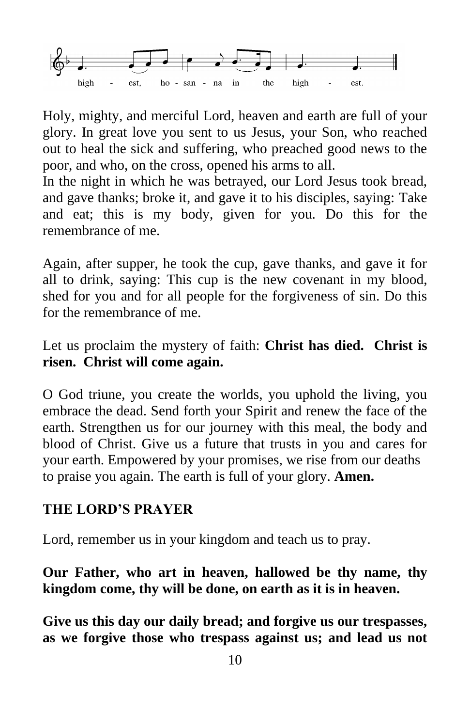

Holy, mighty, and merciful Lord, heaven and earth are full of your glory. In great love you sent to us Jesus, your Son, who reached out to heal the sick and suffering, who preached good news to the poor, and who, on the cross, opened his arms to all.

In the night in which he was betrayed, our Lord Jesus took bread, and gave thanks; broke it, and gave it to his disciples, saying: Take and eat; this is my body, given for you. Do this for the remembrance of me.

Again, after supper, he took the cup, gave thanks, and gave it for all to drink, saying: This cup is the new covenant in my blood, shed for you and for all people for the forgiveness of sin. Do this for the remembrance of me.

# Let us proclaim the mystery of faith: **Christ has died. Christ is risen. Christ will come again.**

O God triune, you create the worlds, you uphold the living, you embrace the dead. Send forth your Spirit and renew the face of the earth. Strengthen us for our journey with this meal, the body and blood of Christ. Give us a future that trusts in you and cares for your earth. Empowered by your promises, we rise from our deaths to praise you again. The earth is full of your glory. **Amen.** 

# **THE LORD'S PRAYER**

Lord, remember us in your kingdom and teach us to pray.

# **Our Father, who art in heaven, hallowed be thy name, thy kingdom come, thy will be done, on earth as it is in heaven.**

**Give us this day our daily bread; and forgive us our trespasses, as we forgive those who trespass against us; and lead us not**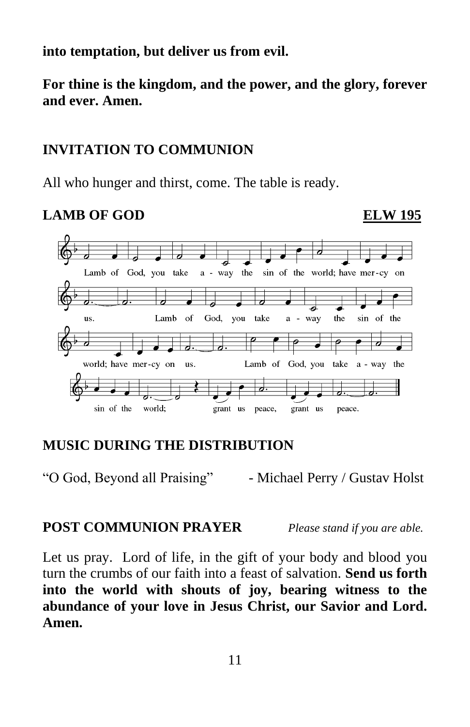**into temptation, but deliver us from evil.** 

**For thine is the kingdom, and the power, and the glory, forever and ever. Amen.**

### **INVITATION TO COMMUNION**

All who hunger and thirst, come. The table is ready.

### **LAMB OF GOD ELW 195**



#### **MUSIC DURING THE DISTRIBUTION**

"O God, Beyond all Praising" - Michael Perry / Gustav Holst

#### **POST COMMUNION PRAYER** *Please stand if you are able.*

Let us pray. Lord of life, in the gift of your body and blood you turn the crumbs of our faith into a feast of salvation. **Send us forth into the world with shouts of joy, bearing witness to the abundance of your love in Jesus Christ, our Savior and Lord. Amen.**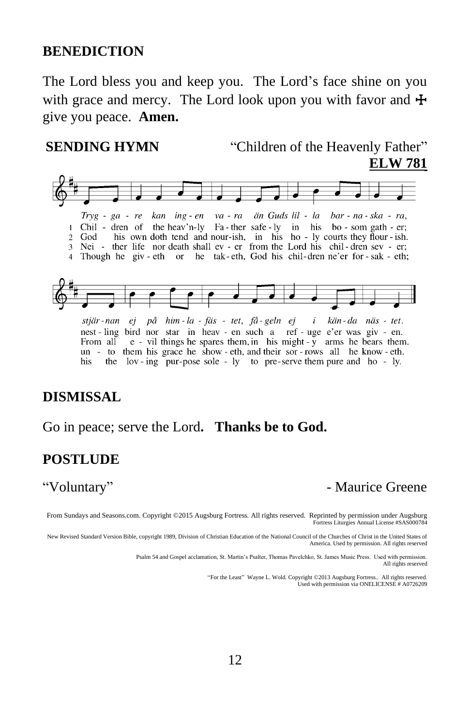#### **BENEDICTION**

The Lord bless you and keep you. The Lord's face shine on you with grace and mercy. The Lord look upon you with favor and  $\pm$ give you peace. **Amen.**

**SENDING HYMN** "Children of the Heavenly Father" **ELW 781**





stjär-nan ej på him-la-fäs - tet, få-geln ej i kän-da näs-tet. nest-ling bird nor star in heav - en such a ref-uge e'er was giv - en. e - vil things he spares them, in his might - y arms he bears them. From all un - to them his grace he show - eth, and their sor - rows all he know - eth. his the lov-ing pur-pose sole - ly to pre-serve them pure and ho - ly.

#### **DISMISSAL**

Go in peace; serve the Lord**. Thanks be to God.**

#### **POSTLUDE**

#### "Voluntary" - Maurice Greene

From Sundays and Seasons.com. Copyright ©2015 Augsburg Fortress. All rights reserved. Reprinted by permission under Augsburg Fortress Liturgies Annual License #SAS000784

New Revised Standard Version Bible, copyright 1989, Division of Christian Education of the National Council of the Churches of Christ in the United States of America. Used by permission. All rights reserved

> Psalm 54 and Gospel acclamation, St. Martin's Psalter, Thomas Pavelchko, St. James Music Press. Used with permission. All rights reserved

> > "For the Least" Wayne L. Wold. Copyright ©2013 Augsburg Fortress.. All rights reserved. Used with permission via ONELICENSE # A0726209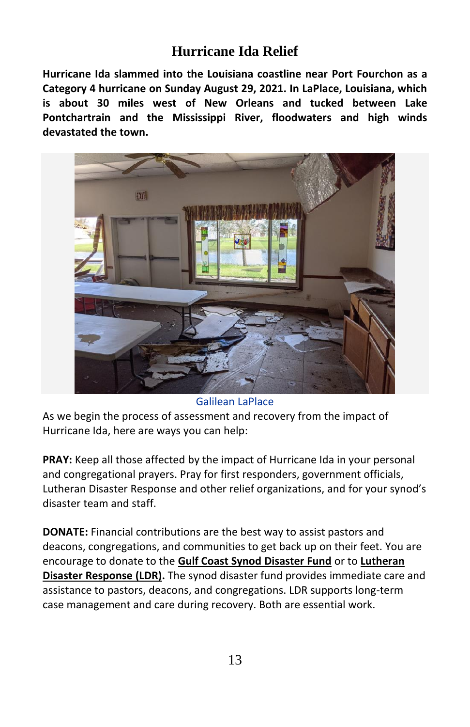# **Hurricane Ida Relief**

**Hurricane Ida slammed into the Louisiana coastline near Port Fourchon as a Category 4 hurricane on Sunday August 29, 2021. In LaPlace, Louisiana, which is about 30 miles west of New Orleans and tucked between Lake Pontchartrain and the Mississippi River, floodwaters and high winds devastated the town.**



Galilean LaPlace

As we begin the process of assessment and recovery from the impact of Hurricane Ida, here are ways you can help:

**PRAY:** Keep all those affected by the impact of Hurricane Ida in your personal and congregational prayers. Pray for first responders, government officials, Lutheran Disaster Response and other relief organizations, and for your synod's disaster team and staff.

**DONATE:** Financial contributions are the best way to assist pastors and deacons, congregations, and communities to get back up on their feet. You are encourage to donate to the **Gulf Coast Synod [Disaster](https://tithe.ly/give_new/www/#/tithely/give-one-time/438617?giving_to=Synod%20Disaster%20Fund%2019) Fund** or to **[Lutheran](https://community.elca.org/lutherandisasterresponse?_ga=2.206867734.442957935.1630332049-931138957.1581604565) Disaster [Response](https://community.elca.org/lutherandisasterresponse?_ga=2.206867734.442957935.1630332049-931138957.1581604565) (LDR).** The synod disaster fund provides immediate care and assistance to pastors, deacons, and congregations. LDR supports long-term case management and care during recovery. Both are essential work.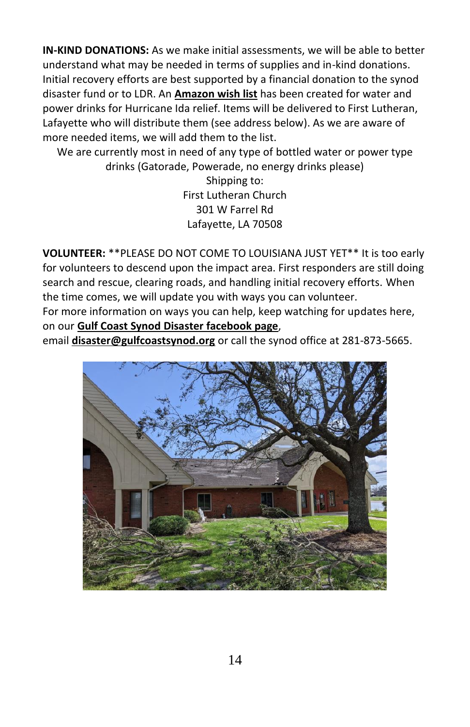**IN-KIND DONATIONS:** As we make initial assessments, we will be able to better understand what may be needed in terms of supplies and in-kind donations. Initial recovery efforts are best supported by a financial donation to the synod disaster fund or to LDR. An **Amazon wish list** has been created for water and power drinks for Hurricane Ida relief. Items will be delivered to First Lutheran, Lafayette who will distribute them (see address below). As we are aware of more needed items, we will add them to the list.

We are currently most in need of any type of bottled water or power type drinks (Gatorade, Powerade, no energy drinks please)

> Shipping to: First Lutheran Church 301 W Farrel Rd Lafayette, LA 70508

**VOLUNTEER:** \*\*PLEASE DO NOT COME TO LOUISIANA JUST YET\*\* It is too early for volunteers to descend upon the impact area. First responders are still doing search and rescue, clearing roads, and handling initial recovery efforts. When the time comes, we will update you with ways you can volunteer.

For more information on ways you can help, keep watching for updates here, on our **Gulf Coast Synod Disaster facebook page**,

email **disaster@gulfcoastsynod.org** or call the synod office at 281-873-5665.

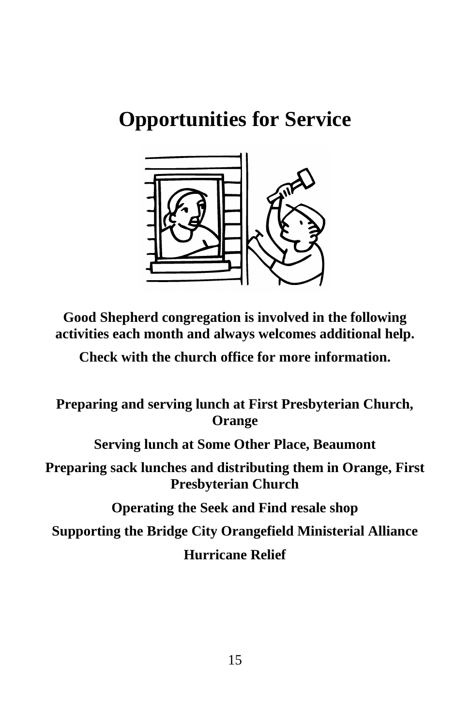# **Opportunities for Service**



**Good Shepherd congregation is involved in the following activities each month and always welcomes additional help.**

**Check with the church office for more information.**

**Preparing and serving lunch at First Presbyterian Church, Orange**

**Serving lunch at Some Other Place, Beaumont**

**Preparing sack lunches and distributing them in Orange, First Presbyterian Church**

**Operating the Seek and Find resale shop**

**Supporting the Bridge City Orangefield Ministerial Alliance Hurricane Relief**